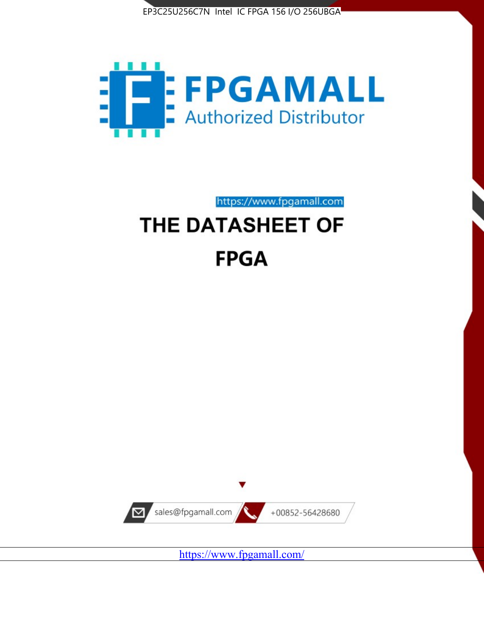



https://www.fpgamall.com

# THE DATASHEET OF **FPGA**



<https://www.fpgamall.com/>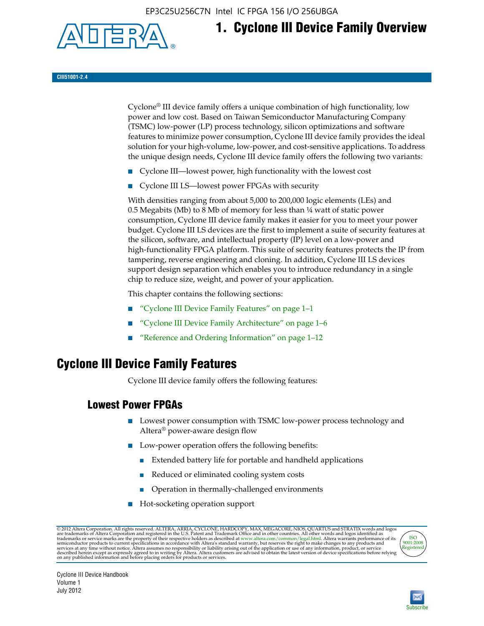EP3C25U256C7N Intel IC FPGA 156 I/O 256UBGA



# **1. Cyclone III Device Family Overview**

#### **CIII51001-2.4**

Cyclone® III device family offers a unique combination of high functionality, low power and low cost. Based on Taiwan Semiconductor Manufacturing Company (TSMC) low-power (LP) process technology, silicon optimizations and software features to minimize power consumption, Cyclone III device family provides the ideal solution for your high-volume, low-power, and cost-sensitive applications. To address the unique design needs, Cyclone III device family offers the following two variants:

- Cyclone III—lowest power, high functionality with the lowest cost
- Cyclone III LS—lowest power FPGAs with security

With densities ranging from about 5,000 to 200,000 logic elements (LEs) and 0.5 Megabits (Mb) to 8 Mb of memory for less than  $\frac{1}{4}$  watt of static power consumption, Cyclone III device family makes it easier for you to meet your power budget. Cyclone III LS devices are the first to implement a suite of security features at the silicon, software, and intellectual property (IP) level on a low-power and high-functionality FPGA platform. This suite of security features protects the IP from tampering, reverse engineering and cloning. In addition, Cyclone III LS devices support design separation which enables you to introduce redundancy in a single chip to reduce size, weight, and power of your application.

This chapter contains the following sections:

- "Cyclone III Device Family Features" on page 1–1
- "Cyclone III Device Family Architecture" on page 1–6
- "Reference and Ordering Information" on page 1–12

## **Cyclone III Device Family Features**

Cyclone III device family offers the following features:

#### **Lowest Power FPGAs**

- Lowest power consumption with TSMC low-power process technology and Altera® power-aware design flow
- Low-power operation offers the following benefits:
	- Extended battery life for portable and handheld applications
	- Reduced or eliminated cooling system costs
	- Operation in thermally-challenged environments
- Hot-socketing operation support

@ 2012 Altera Corporation. All rights reserved. ALTERA, ARRIA, CYCLONE, HARDCOPY, MAX, MEGACORE, NIOS, QUARTUS and STRATIX words and logos are trademarks of Altera Corporation and registered in the U.S. Patent and Trademar



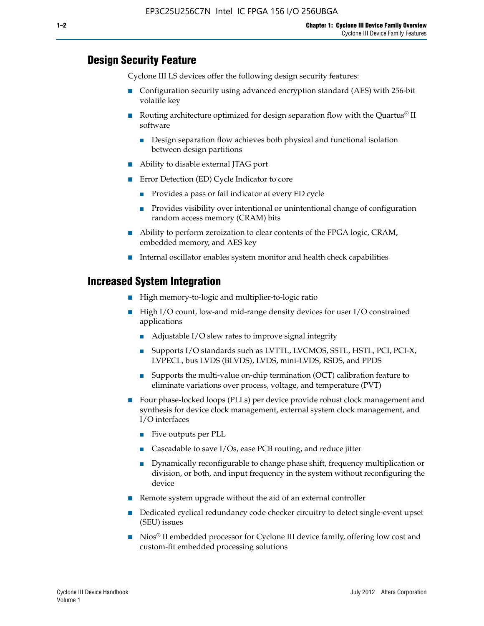#### **Design Security Feature**

Cyclone III LS devices offer the following design security features:

- Configuration security using advanced encryption standard (AES) with 256-bit volatile key
- **■** Routing architecture optimized for design separation flow with the Quartus<sup>®</sup> II software
	- Design separation flow achieves both physical and functional isolation between design partitions
- Ability to disable external JTAG port
- Error Detection (ED) Cycle Indicator to core
	- Provides a pass or fail indicator at every ED cycle
	- Provides visibility over intentional or unintentional change of configuration random access memory (CRAM) bits
- Ability to perform zeroization to clear contents of the FPGA logic, CRAM, embedded memory, and AES key
- Internal oscillator enables system monitor and health check capabilities

#### **Increased System Integration**

- High memory-to-logic and multiplier-to-logic ratio
- High I/O count, low-and mid-range density devices for user I/O constrained applications
	- Adjustable I/O slew rates to improve signal integrity
	- Supports I/O standards such as LVTTL, LVCMOS, SSTL, HSTL, PCI, PCI-X, LVPECL, bus LVDS (BLVDS), LVDS, mini-LVDS, RSDS, and PPDS
	- Supports the multi-value on-chip termination (OCT) calibration feature to eliminate variations over process, voltage, and temperature (PVT)
- Four phase-locked loops (PLLs) per device provide robust clock management and synthesis for device clock management, external system clock management, and I/O interfaces
	- Five outputs per PLL
	- Cascadable to save I/Os, ease PCB routing, and reduce jitter
	- Dynamically reconfigurable to change phase shift, frequency multiplication or division, or both, and input frequency in the system without reconfiguring the device
- Remote system upgrade without the aid of an external controller
- Dedicated cyclical redundancy code checker circuitry to detect single-event upset (SEU) issues
- Nios<sup>®</sup> II embedded processor for Cyclone III device family, offering low cost and custom-fit embedded processing solutions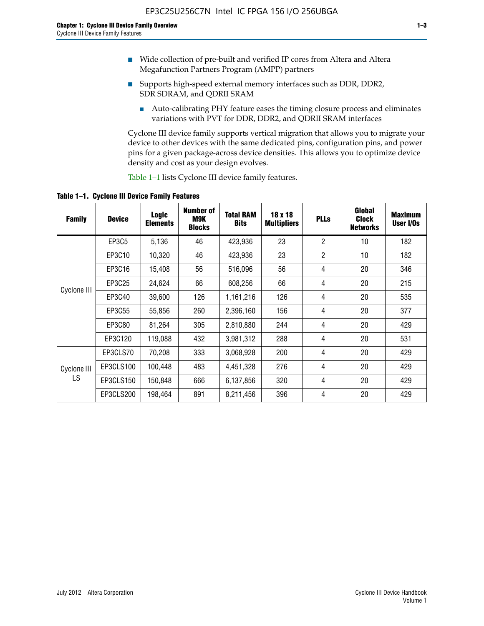- Wide collection of pre-built and verified IP cores from Altera and Altera Megafunction Partners Program (AMPP) partners
- Supports high-speed external memory interfaces such as DDR, DDR2, SDR SDRAM, and QDRII SRAM
	- Auto-calibrating PHY feature eases the timing closure process and eliminates variations with PVT for DDR, DDR2, and QDRII SRAM interfaces

Cyclone III device family supports vertical migration that allows you to migrate your device to other devices with the same dedicated pins, configuration pins, and power pins for a given package-across device densities. This allows you to optimize device density and cost as your design evolves.

Table 1–1 lists Cyclone III device family features.

**Table 1–1. Cyclone III Device Family Features**

| <b>Family</b> | <b>Device</b> | <b>Logic</b><br><b>Elements</b> | Number of<br>M9K<br><b>Blocks</b> | <b>Total RAM</b><br><b>Bits</b> | 18 x 18<br><b>Multipliers</b> | <b>PLLs</b>    | Global<br><b>Clock</b><br><b>Networks</b> | <b>Maximum</b><br>User I/Os |
|---------------|---------------|---------------------------------|-----------------------------------|---------------------------------|-------------------------------|----------------|-------------------------------------------|-----------------------------|
|               | <b>EP3C5</b>  | 5,136                           | 46                                | 423,936                         | 23                            | $\overline{2}$ | 10                                        | 182                         |
|               | EP3C10        | 10,320                          | 46                                | 423,936                         | 23                            | $\overline{2}$ | 10                                        | 182                         |
|               | EP3C16        | 15,408                          | 56                                | 516,096                         | 56                            | 4              | 20                                        | 346                         |
| Cyclone III   | EP3C25        | 24,624                          | 66                                | 608,256                         | 66                            | 4              | 20                                        | 215                         |
|               | EP3C40        | 39,600                          | 126                               | 1,161,216                       | 126                           | 4              | 20                                        | 535                         |
|               | EP3C55        | 55,856                          | 260                               | 2,396,160                       | 156                           | 4              | 20                                        | 377                         |
|               | EP3C80        | 81,264                          | 305                               | 2,810,880                       | 244                           | 4              | 20                                        | 429                         |
|               | EP3C120       | 119,088                         | 432                               | 3,981,312                       | 288                           | 4              | 20                                        | 531                         |
|               | EP3CLS70      | 70,208                          | 333                               | 3,068,928                       | 200                           | 4              | 20                                        | 429                         |
| Cyclone III   | EP3CLS100     | 100,448                         | 483                               | 4,451,328                       | 276                           | 4              | 20                                        | 429                         |
| LS            | EP3CLS150     | 150,848                         | 666                               | 6,137,856                       | 320                           | 4              | 20                                        | 429                         |
|               | EP3CLS200     | 198,464                         | 891                               | 8,211,456                       | 396                           | 4              | 20                                        | 429                         |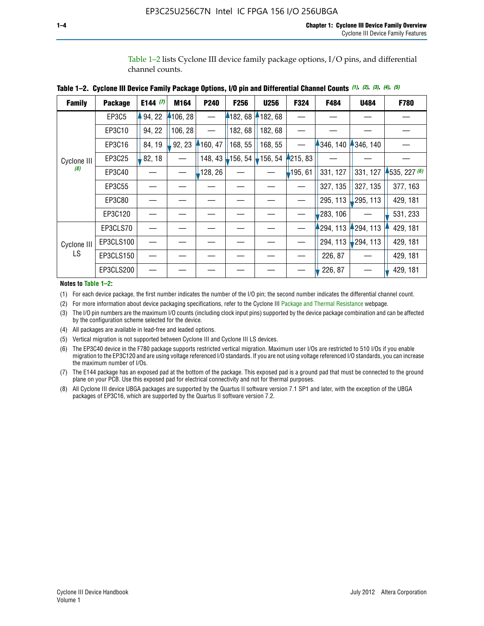Table 1–2 lists Cyclone III device family package options, I/O pins, and differential channel counts.

| <b>Family</b>      | <b>Package</b> | E144 $(7)$ | M164     | P240     | F <sub>256</sub>  | <b>U256</b> | F324       | F484      | U484        | F780         |
|--------------------|----------------|------------|----------|----------|-------------------|-------------|------------|-----------|-------------|--------------|
|                    | EP3C5          | 94, 22     | 4106, 28 |          | 182,68            | 182, 68     |            |           |             |              |
|                    | EP3C10         | 94, 22     | 106, 28  |          | 182, 68           | 182,68      |            |           |             |              |
|                    | EP3C16         | 84, 19     | 92, 23   | 160, 47  | 168, 55           | 168, 55     |            | 346, 140  | 4346, 140   |              |
| Cyclone III        | EP3C25         | 82, 18     |          | 148, 43  | $156, 54$ 156, 54 |             | 4215, 83   |           |             |              |
| (8)                | EP3C40         |            |          | ,128, 26 |                   |             | $-195, 61$ | 331, 127  | 331, 127    | 1535, 227(6) |
|                    | EP3C55         |            |          |          |                   |             |            | 327, 135  | 327, 135    | 377, 163     |
|                    | EP3C80         |            |          |          |                   |             |            | 295, 113  | 295, 113    | 429, 181     |
|                    | EP3C120        |            |          |          |                   |             |            | 283, 106  |             | 531, 233     |
|                    | EP3CLS70       |            |          |          |                   |             |            | 1294, 113 | 294, 113    | 429, 181     |
| Cyclone III<br>LS. | EP3CLS100      |            |          |          |                   |             |            | 294, 113  | $-294, 113$ | 429, 181     |
|                    | EP3CLS150      |            |          |          |                   |             |            | 226, 87   |             | 429, 181     |
|                    | EP3CLS200      |            |          |          |                   |             |            | 226, 87   |             | 429, 181     |

|  | Table 1–2. Cyclone III Device Family Package Options, I/O pin and Differential Channel Counts (1), (2), (3), (4), (5) |  |  |  |  |  |  |  |  |
|--|-----------------------------------------------------------------------------------------------------------------------|--|--|--|--|--|--|--|--|
|--|-----------------------------------------------------------------------------------------------------------------------|--|--|--|--|--|--|--|--|

#### **Notes to Table 1–2:**

(1) For each device package, the first number indicates the number of the I/O pin; the second number indicates the differential channel count.

(2) For more information about device packaging specifications, refer to the Cyclone III [Package and Thermal Resistance](http://www.altera.com/support/devices/packaging/specifications/pkg-pin/dev-package-listing.jsp?device=Cyclone_III) webpage.

(3) The I/O pin numbers are the maximum I/O counts (including clock input pins) supported by the device package combination and can be affected by the configuration scheme selected for the device.

(4) All packages are available in lead-free and leaded options.

- (5) Vertical migration is not supported between Cyclone III and Cyclone III LS devices.
- (6) The EP3C40 device in the F780 package supports restricted vertical migration. Maximum user I/Os are restricted to 510 I/Os if you enable migration to the EP3C120 and are using voltage referenced I/O standards. If you are not using voltage referenced I/O standards, you can increase the maximum number of I/Os.
- (7) The E144 package has an exposed pad at the bottom of the package. This exposed pad is a ground pad that must be connected to the ground plane on your PCB. Use this exposed pad for electrical connectivity and not for thermal purposes.
- (8) All Cyclone III device UBGA packages are supported by the Quartus II software version 7.1 SP1 and later, with the exception of the UBGA packages of EP3C16, which are supported by the Quartus II software version 7.2.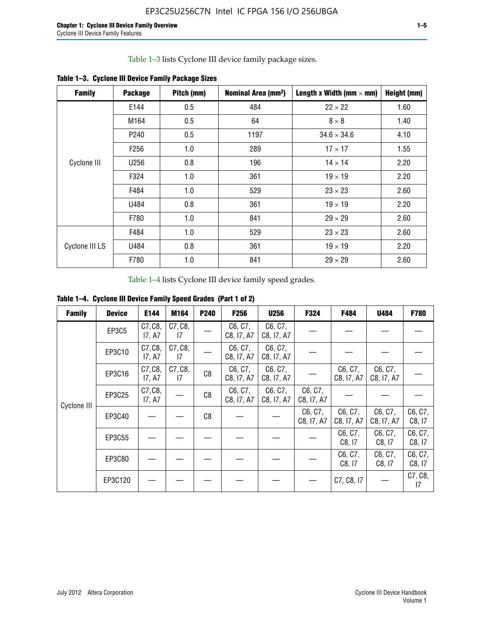Table 1–3 lists Cyclone III device family package sizes.

| <b>Family</b>  | <b>Package</b>   | Pitch (mm) | Nominal Area (mm <sup>2</sup> ) | Length x Width (mm $\times$ mm) | Height (mm) |
|----------------|------------------|------------|---------------------------------|---------------------------------|-------------|
|                | E144             | 0.5        | 484                             | $22 \times 22$                  | 1.60        |
|                | M164             | 0.5        | 64                              | $8 \times 8$                    | 1.40        |
|                | P <sub>240</sub> | 0.5        | 1197                            | $34.6 \times 34.6$              | 4.10        |
|                | F <sub>256</sub> | 1.0        | 289                             | $17 \times 17$                  | 1.55        |
| Cyclone III    | U256             | 0.8        | 196                             | $14 \times 14$                  | 2.20        |
|                | F324             | 1.0        | 361                             | $19 \times 19$                  | 2.20        |
|                | F484             | 1.0        | 529                             | $23 \times 23$                  | 2.60        |
|                | U484             | 0.8        | 361                             | $19 \times 19$                  | 2.20        |
|                | F780             | 1.0        | 841                             | $29 \times 29$                  | 2.60        |
|                | F484             | 1.0        | 529                             | $23 \times 23$                  | 2.60        |
| Cyclone III LS | U484             | 0.8        | 361                             | $19 \times 19$                  | 2.20        |
|                | F780             | 1.0        | 841                             | $29 \times 29$                  | 2.60        |

**Table 1–3. Cyclone III Device Family Package Sizes**

Table 1–4 lists Cyclone III device family speed grades.

**Table 1–4. Cyclone III Device Family Speed Grades (Part 1 of 2)**

| <b>Family</b> | <b>Device</b> | E144              | M164          | <b>P240</b> | <b>F256</b>           | <b>U256</b>           | F324                  | F484                  | U484                  | <b>F780</b>       |
|---------------|---------------|-------------------|---------------|-------------|-----------------------|-----------------------|-----------------------|-----------------------|-----------------------|-------------------|
|               | EP3C5         | C7, C8,<br>17, A7 | C7, C8,<br>17 |             | C6, C7,<br>C8, I7, A7 | C6, C7,<br>C8, I7, A7 |                       |                       |                       |                   |
|               | EP3C10        | C7, C8,<br>17, A7 | C7, C8,<br>17 |             | C6, C7,<br>C8, I7, A7 | C6, C7,<br>C8, I7, A7 |                       |                       |                       |                   |
|               | EP3C16        | C7, C8,<br>17, A7 | C7, C8,<br>17 | C8          | C6, C7,<br>C8, I7, A7 | C6, C7,<br>C8, I7, A7 |                       | C6, C7,<br>C8, I7, A7 | C6, C7,<br>C8, I7, A7 |                   |
| Cyclone III   | EP3C25        | C7, C8,<br>17, A7 |               | C8          | C6, C7,<br>C8, I7, A7 | C6, C7,<br>C8, I7, A7 | C6, C7,<br>C8, I7, A7 |                       |                       |                   |
|               | EP3C40        |                   |               | C8          |                       |                       | C6, C7,<br>C8, I7, A7 | C6, C7,<br>C8, I7, A7 | C6, C7,<br>C8, I7, A7 | C6, C7,<br>C8, 17 |
|               | EP3C55        |                   |               |             |                       |                       |                       | C6, C7,<br>C8, I7     | C6, C7,<br>C8, 17     | C6, C7,<br>C8, 17 |
|               | EP3C80        |                   |               |             |                       |                       |                       | C6, C7,<br>C8, 17     | C6, C7,<br>C8, 17     | C6, C7,<br>C8, 17 |
|               | EP3C120       |                   |               |             |                       |                       |                       | C7, C8, I7            |                       | C7, C8,<br>17     |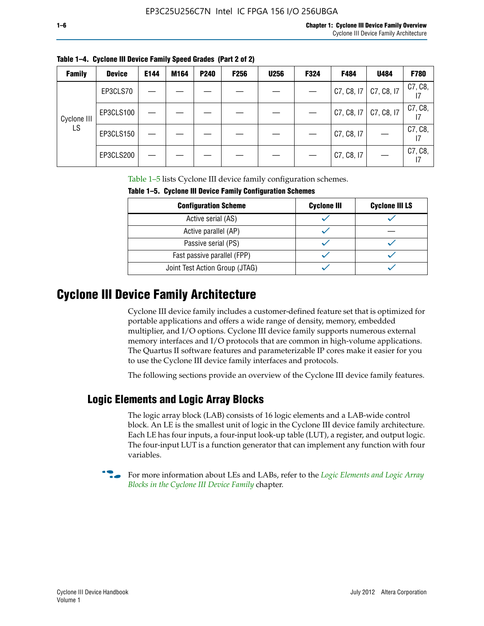|  |  | Table 1–4. Cyclone III Device Family Speed Grades (Part 2 of 2) |  |
|--|--|-----------------------------------------------------------------|--|
|--|--|-----------------------------------------------------------------|--|

| <b>Family</b> | <b>Device</b> | E144 | M164 | P240 | <b>F256</b> | <b>U256</b> | F324 | F484       | U484       | <b>F780</b> |
|---------------|---------------|------|------|------|-------------|-------------|------|------------|------------|-------------|
|               | EP3CLS70      |      |      |      |             |             |      | C7, C8, I7 | C7, C8, I7 | C7, C8,     |
| Cyclone III   | EP3CLS100     |      |      |      |             |             |      | C7, C8, I7 | C7, C8, I7 | C7, C8,     |
| LS.           | EP3CLS150     |      |      |      |             |             |      | C7, C8, I7 |            | C7, C8,     |
|               | EP3CLS200     |      |      |      |             |             |      | C7, C8, I7 |            | C7, C8,     |

Table 1–5 lists Cyclone III device family configuration schemes.

| TABLE 1-9. CYCLUIC III DEVICE FAILIIIY CUILILUM ALIUII SCIIEIIIES |                    |                       |  |  |  |
|-------------------------------------------------------------------|--------------------|-----------------------|--|--|--|
| <b>Configuration Scheme</b>                                       | <b>Cyclone III</b> | <b>Cyclone III LS</b> |  |  |  |
| Active serial (AS)                                                |                    |                       |  |  |  |
| Active parallel (AP)                                              |                    |                       |  |  |  |
| Passive serial (PS)                                               |                    |                       |  |  |  |
| Fast passive parallel (FPP)                                       |                    |                       |  |  |  |
| Joint Test Action Group (JTAG)                                    |                    |                       |  |  |  |

#### **Table 1–5. Cyclone III Device Family Configuration Schemes**

## **Cyclone III Device Family Architecture**

Cyclone III device family includes a customer-defined feature set that is optimized for portable applications and offers a wide range of density, memory, embedded multiplier, and I/O options. Cyclone III device family supports numerous external memory interfaces and I/O protocols that are common in high-volume applications. The Quartus II software features and parameterizable IP cores make it easier for you to use the Cyclone III device family interfaces and protocols.

The following sections provide an overview of the Cyclone III device family features.

#### **Logic Elements and Logic Array Blocks**

The logic array block (LAB) consists of 16 logic elements and a LAB-wide control block. An LE is the smallest unit of logic in the Cyclone III device family architecture. Each LE has four inputs, a four-input look-up table (LUT), a register, and output logic. The four-input LUT is a function generator that can implement any function with four variables.

f For more information about LEs and LABs, refer to the *[Logic Elements and Logic Array](http://www.altera.com/literature/hb/cyc3/cyc3_ciii51002.pdf)  [Blocks in the Cyclone III Device Family](http://www.altera.com/literature/hb/cyc3/cyc3_ciii51002.pdf)* chapter.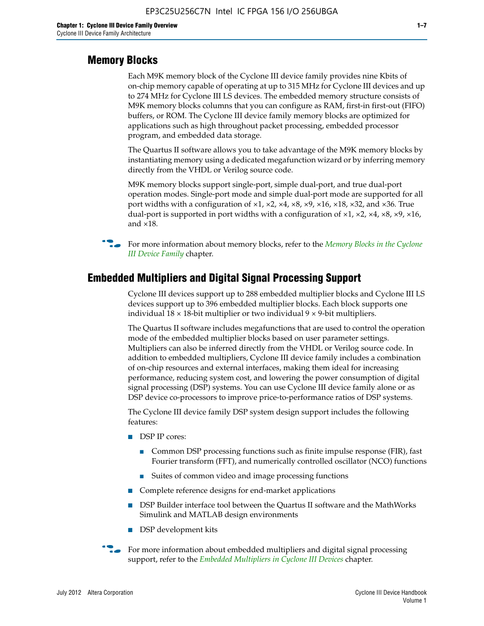#### **Memory Blocks**

Each M9K memory block of the Cyclone III device family provides nine Kbits of on-chip memory capable of operating at up to 315 MHz for Cyclone III devices and up to 274 MHz for Cyclone III LS devices. The embedded memory structure consists of M9K memory blocks columns that you can configure as RAM, first-in first-out (FIFO) buffers, or ROM. The Cyclone III device family memory blocks are optimized for applications such as high throughout packet processing, embedded processor program, and embedded data storage.

The Quartus II software allows you to take advantage of the M9K memory blocks by instantiating memory using a dedicated megafunction wizard or by inferring memory directly from the VHDL or Verilog source code.

M9K memory blocks support single-port, simple dual-port, and true dual-port operation modes. Single-port mode and simple dual-port mode are supported for all port widths with a configuration of  $\times1$ ,  $\times2$ ,  $\times4$ ,  $\times8$ ,  $\times9$ ,  $\times16$ ,  $\times18$ ,  $\times32$ , and  $\times36$ . True dual-port is supported in port widths with a configuration of  $\times$ 1,  $\times$ 2,  $\times$ 4,  $\times$ 8,  $\times$ 9,  $\times$ 16, and ×18.



**For more information about memory blocks, refer to the** *Memory Blocks in the Cyclone [III Device Family](http://www.altera.com/literature/hb/cyc3/cyc3_ciii51004.pdf)* chapter.

#### **Embedded Multipliers and Digital Signal Processing Support**

Cyclone III devices support up to 288 embedded multiplier blocks and Cyclone III LS devices support up to 396 embedded multiplier blocks. Each block supports one individual  $18 \times 18$ -bit multiplier or two individual  $9 \times 9$ -bit multipliers.

The Quartus II software includes megafunctions that are used to control the operation mode of the embedded multiplier blocks based on user parameter settings. Multipliers can also be inferred directly from the VHDL or Verilog source code. In addition to embedded multipliers, Cyclone III device family includes a combination of on-chip resources and external interfaces, making them ideal for increasing performance, reducing system cost, and lowering the power consumption of digital signal processing (DSP) systems. You can use Cyclone III device family alone or as DSP device co-processors to improve price-to-performance ratios of DSP systems.

The Cyclone III device family DSP system design support includes the following features:

- DSP IP cores:
	- Common DSP processing functions such as finite impulse response (FIR), fast Fourier transform (FFT), and numerically controlled oscillator (NCO) functions
	- Suites of common video and image processing functions
- Complete reference designs for end-market applications
- DSP Builder interface tool between the Quartus II software and the MathWorks Simulink and MATLAB design environments
- DSP development kits
- For more information about embedded multipliers and digital signal processing support, refer to the *[Embedded Multipliers in Cyclone III Devices](http://www.altera.com/literature/hb/cyc3/cyc3_ciii51005.pdf)* chapter.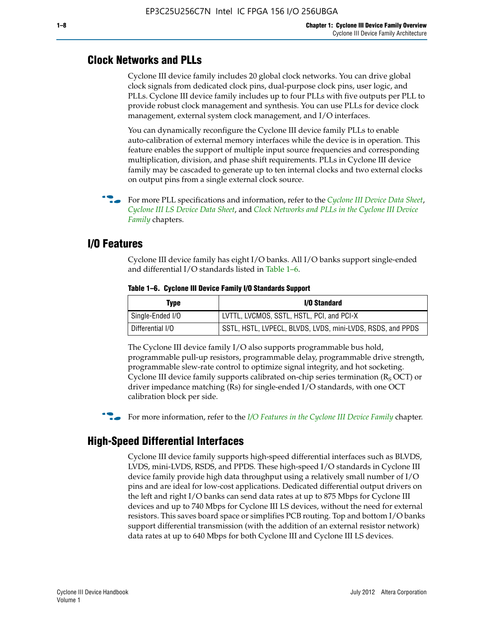#### **Clock Networks and PLLs**

Cyclone III device family includes 20 global clock networks. You can drive global clock signals from dedicated clock pins, dual-purpose clock pins, user logic, and PLLs. Cyclone III device family includes up to four PLLs with five outputs per PLL to provide robust clock management and synthesis. You can use PLLs for device clock management, external system clock management, and I/O interfaces.

You can dynamically reconfigure the Cyclone III device family PLLs to enable auto-calibration of external memory interfaces while the device is in operation. This feature enables the support of multiple input source frequencies and corresponding multiplication, division, and phase shift requirements. PLLs in Cyclone III device family may be cascaded to generate up to ten internal clocks and two external clocks on output pins from a single external clock source.

**For more PLL specifications and information, refer to the** *[Cyclone III Device Data Sheet](http://www.altera.com/literature/hb/cyc3/cyc3_ciii52001.pdf)***,** *[Cyclone III LS Device Data Sheet](http://www.altera.com/literature/hb/cyc3/cyc3_ciii52002.pdf)*, and *[Clock Networks and PLLs in the Cyclone III Device](http://www.altera.com/literature/hb/cyc3/cyc3_ciii51006.pdf)  [Family](http://www.altera.com/literature/hb/cyc3/cyc3_ciii51006.pdf)* chapters.

#### **I/O Features**

Cyclone III device family has eight I/O banks. All I/O banks support single-ended and differential I/O standards listed in Table 1–6.

| Type             | <b>I/O Standard</b>                                        |
|------------------|------------------------------------------------------------|
| Single-Ended I/O | LVTTL, LVCMOS, SSTL, HSTL, PCI, and PCI-X                  |
| Differential I/O | SSTL, HSTL, LVPECL, BLVDS, LVDS, mini-LVDS, RSDS, and PPDS |

**Table 1–6. Cyclone III Device Family I/O Standards Support** 

The Cyclone III device family I/O also supports programmable bus hold, programmable pull-up resistors, programmable delay, programmable drive strength, programmable slew-rate control to optimize signal integrity, and hot socketing. Cyclone III device family supports calibrated on-chip series termination ( $R_S$  OCT) or driver impedance matching (Rs) for single-ended I/O standards, with one OCT calibration block per side.

For more information, refer to the *[I/O Features in the Cyclone III Device Family](http://www.altera.com/literature/hb/cyc3/cyc3_ciii51007.pdf)* chapter.

#### **High-Speed Differential Interfaces**

Cyclone III device family supports high-speed differential interfaces such as BLVDS, LVDS, mini-LVDS, RSDS, and PPDS. These high-speed I/O standards in Cyclone III device family provide high data throughput using a relatively small number of I/O pins and are ideal for low-cost applications. Dedicated differential output drivers on the left and right I/O banks can send data rates at up to 875 Mbps for Cyclone III devices and up to 740 Mbps for Cyclone III LS devices, without the need for external resistors. This saves board space or simplifies PCB routing. Top and bottom I/O banks support differential transmission (with the addition of an external resistor network) data rates at up to 640 Mbps for both Cyclone III and Cyclone III LS devices.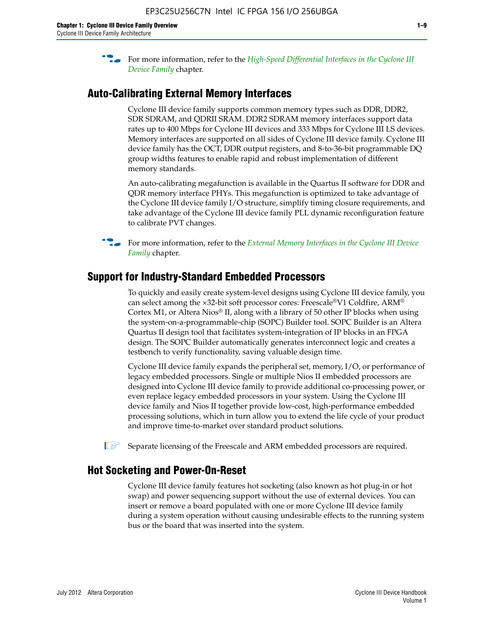**For more information, refer to the** *High-Speed Differential Interfaces in the Cyclone III* $\overline{a}$ *[Device Family](http://www.altera.com/literature/hb/cyc3/cyc3_ciii51008.pdf)* chapter.

#### **Auto-Calibrating External Memory Interfaces**

Cyclone III device family supports common memory types such as DDR, DDR2, SDR SDRAM, and QDRII SRAM. DDR2 SDRAM memory interfaces support data rates up to 400 Mbps for Cyclone III devices and 333 Mbps for Cyclone III LS devices. Memory interfaces are supported on all sides of Cyclone III device family. Cyclone III device family has the OCT, DDR output registers, and 8-to-36-bit programmable DQ group widths features to enable rapid and robust implementation of different memory standards.

An auto-calibrating megafunction is available in the Quartus II software for DDR and QDR memory interface PHYs. This megafunction is optimized to take advantage of the Cyclone III device family I/O structure, simplify timing closure requirements, and take advantage of the Cyclone III device family PLL dynamic reconfiguration feature to calibrate PVT changes.

**For more information, refer to the** *External Memory Interfaces in the Cyclone III Device [Family](http://www.altera.com/literature/hb/cyc3/cyc3_ciii51009.pdf)* chapter.

#### **Support for Industry-Standard Embedded Processors**

To quickly and easily create system-level designs using Cyclone III device family, you can select among the ×32-bit soft processor cores: Freescale®V1 Coldfire, ARM® Cortex M1, or Altera Nios® II, along with a library of 50 other IP blocks when using the system-on-a-programmable-chip (SOPC) Builder tool. SOPC Builder is an Altera Quartus II design tool that facilitates system-integration of IP blocks in an FPGA design. The SOPC Builder automatically generates interconnect logic and creates a testbench to verify functionality, saving valuable design time.

Cyclone III device family expands the peripheral set, memory, I/O, or performance of legacy embedded processors. Single or multiple Nios II embedded processors are designed into Cyclone III device family to provide additional co-processing power, or even replace legacy embedded processors in your system. Using the Cyclone III device family and Nios II together provide low-cost, high-performance embedded processing solutions, which in turn allow you to extend the life cycle of your product and improve time-to-market over standard product solutions.

 $\mathbb{I}$  Separate licensing of the Freescale and ARM embedded processors are required.

#### **Hot Socketing and Power-On-Reset**

Cyclone III device family features hot socketing (also known as hot plug-in or hot swap) and power sequencing support without the use of external devices. You can insert or remove a board populated with one or more Cyclone III device family during a system operation without causing undesirable effects to the running system bus or the board that was inserted into the system.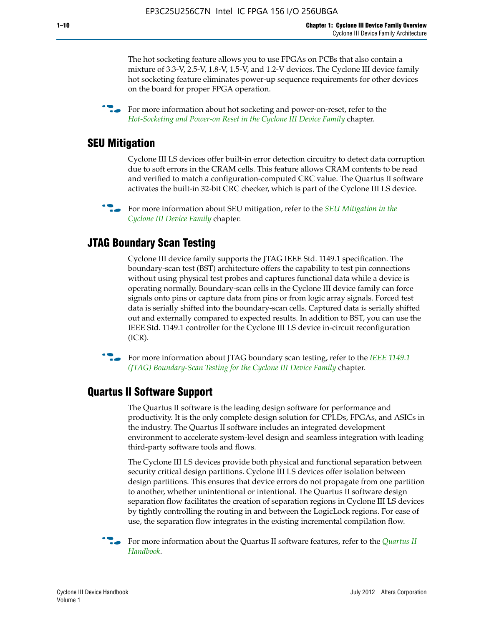The hot socketing feature allows you to use FPGAs on PCBs that also contain a mixture of 3.3-V, 2.5-V, 1.8-V, 1.5-V, and 1.2-V devices. The Cyclone III device family hot socketing feature eliminates power-up sequence requirements for other devices on the board for proper FPGA operation.

For more information about hot socketing and power-on-reset, refer to the *[Hot-Socketing and Power-on Reset in the Cyclone III Device Family](http://www.altera.com/literature/hb/cyc3/cyc3_ciii51011.pdf)* chapter.

#### **SEU Mitigation**

Cyclone III LS devices offer built-in error detection circuitry to detect data corruption due to soft errors in the CRAM cells. This feature allows CRAM contents to be read and verified to match a configuration-computed CRC value. The Quartus II software activates the built-in 32-bit CRC checker, which is part of the Cyclone III LS device.

**For more information about SEU mitigation, refer to the** *SEU Mitigation in the [Cyclone III Device Family](http://www.altera.com/literature/hb/cyc3/cyc3_ciii51013.pdf)* chapter.

#### **JTAG Boundary Scan Testing**

Cyclone III device family supports the JTAG IEEE Std. 1149.1 specification. The boundary-scan test (BST) architecture offers the capability to test pin connections without using physical test probes and captures functional data while a device is operating normally. Boundary-scan cells in the Cyclone III device family can force signals onto pins or capture data from pins or from logic array signals. Forced test data is serially shifted into the boundary-scan cells. Captured data is serially shifted out and externally compared to expected results. In addition to BST, you can use the IEEE Std. 1149.1 controller for the Cyclone III LS device in-circuit reconfiguration (ICR).

**f f**or more information about JTAG boundary scan testing, refer to the *IEEE* 1149.1 *[\(JTAG\) Boundary-Scan Testing for the Cyclone III Device Family](http://www.altera.com/literature/hb/cyc3/cyc3_ciii51014.pdf)* chapter.

#### **Quartus II Software Support**

The Quartus II software is the leading design software for performance and productivity. It is the only complete design solution for CPLDs, FPGAs, and ASICs in the industry. The Quartus II software includes an integrated development environment to accelerate system-level design and seamless integration with leading third-party software tools and flows.

The Cyclone III LS devices provide both physical and functional separation between security critical design partitions. Cyclone III LS devices offer isolation between design partitions. This ensures that device errors do not propagate from one partition to another, whether unintentional or intentional. The Quartus II software design separation flow facilitates the creation of separation regions in Cyclone III LS devices by tightly controlling the routing in and between the LogicLock regions. For ease of use, the separation flow integrates in the existing incremental compilation flow.

f For more information about the Quartus II software features, refer to the *[Quartus II](http://www.altera.com/literature/hb/qts/quartusii_handbook.pdf)  [Handbook](http://www.altera.com/literature/hb/qts/quartusii_handbook.pdf)*.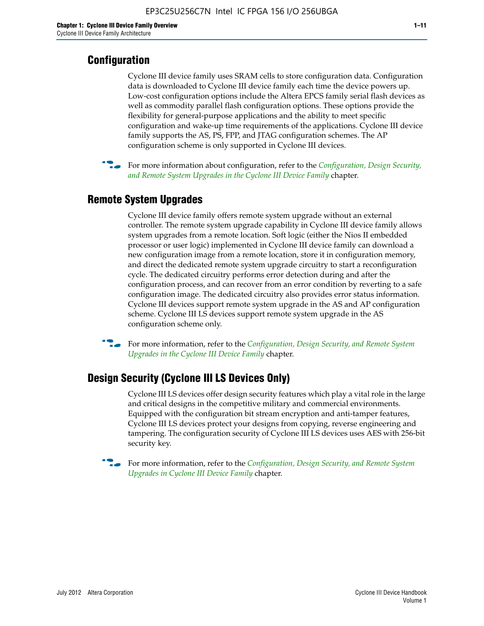### **Configuration**

Cyclone III device family uses SRAM cells to store configuration data. Configuration data is downloaded to Cyclone III device family each time the device powers up. Low-cost configuration options include the Altera EPCS family serial flash devices as well as commodity parallel flash configuration options. These options provide the flexibility for general-purpose applications and the ability to meet specific configuration and wake-up time requirements of the applications. Cyclone III device family supports the AS, PS, FPP, and JTAG configuration schemes. The AP configuration scheme is only supported in Cyclone III devices.



f For more information about configuration, refer to the *[Configuration, Design Security,](http://www.altera.com/literature/hb/cyc3/cyc3_ciii51016.pdf)  [and Remote System Upgrades in the Cyclone III Device Family](http://www.altera.com/literature/hb/cyc3/cyc3_ciii51016.pdf)* chapter.

#### **Remote System Upgrades**

Cyclone III device family offers remote system upgrade without an external controller. The remote system upgrade capability in Cyclone III device family allows system upgrades from a remote location. Soft logic (either the Nios II embedded processor or user logic) implemented in Cyclone III device family can download a new configuration image from a remote location, store it in configuration memory, and direct the dedicated remote system upgrade circuitry to start a reconfiguration cycle. The dedicated circuitry performs error detection during and after the configuration process, and can recover from an error condition by reverting to a safe configuration image. The dedicated circuitry also provides error status information. Cyclone III devices support remote system upgrade in the AS and AP configuration scheme. Cyclone III LS devices support remote system upgrade in the AS configuration scheme only.

**For more information, refer to the** *Configuration*, Design Security, and Remote System *[Upgrades in the Cyclone III Device Family](http://www.altera.com/literature/hb/cyc3/cyc3_ciii51016.pdf)* chapter.

#### **Design Security (Cyclone III LS Devices Only)**

Cyclone III LS devices offer design security features which play a vital role in the large and critical designs in the competitive military and commercial environments. Equipped with the configuration bit stream encryption and anti-tamper features, Cyclone III LS devices protect your designs from copying, reverse engineering and tampering. The configuration security of Cyclone III LS devices uses AES with 256-bit security key.

f For more information, refer to the *[Configuration, Design Security, and Remote System](http://www.altera.com/literature/hb/cyc3/cyc3_ciii51016.pdf)  [Upgrades in Cyclone III Device Family](http://www.altera.com/literature/hb/cyc3/cyc3_ciii51016.pdf)* chapter.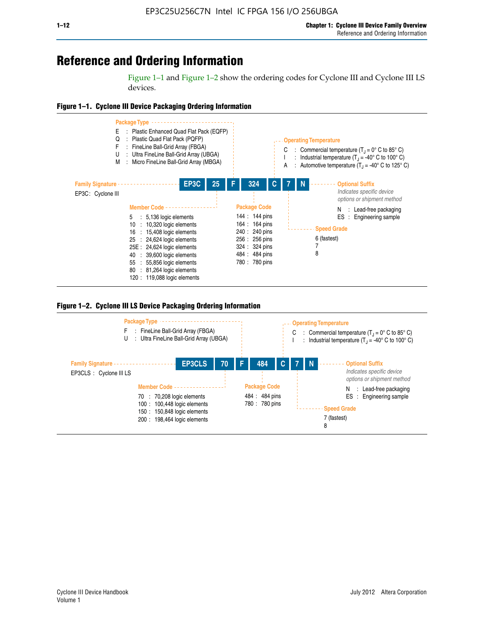## **Reference and Ordering Information**

Figure 1–1 and Figure 1–2 show the ordering codes for Cyclone III and Cyclone III LS devices.







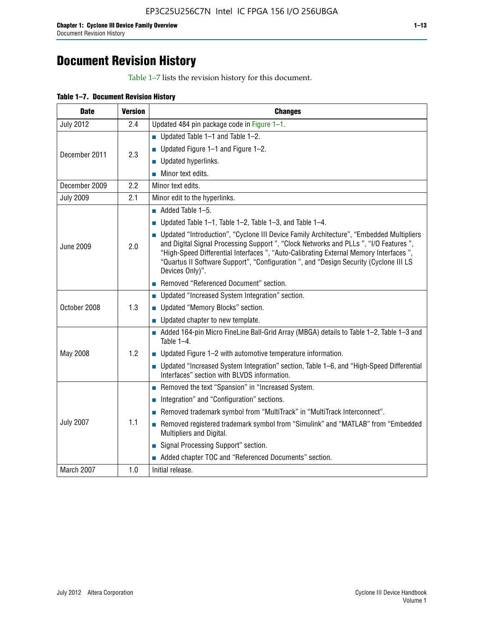# **Document Revision History**

Table 1–7 lists the revision history for this document.

| Table 1-7. Document Revision History |
|--------------------------------------|
|--------------------------------------|

| <b>Date</b>      | <b>Version</b> | <b>Changes</b>                                                                                                                                                                                                                                                                                                                                                                          |
|------------------|----------------|-----------------------------------------------------------------------------------------------------------------------------------------------------------------------------------------------------------------------------------------------------------------------------------------------------------------------------------------------------------------------------------------|
| <b>July 2012</b> | 2.4            | Updated 484 pin package code in Figure 1-1.                                                                                                                                                                                                                                                                                                                                             |
|                  |                | Updated Table $1-1$ and Table $1-2$ .                                                                                                                                                                                                                                                                                                                                                   |
| December 2011    | 2.3            | ■ Updated Figure $1-1$ and Figure $1-2$ .                                                                                                                                                                                                                                                                                                                                               |
|                  |                | Updated hyperlinks.                                                                                                                                                                                                                                                                                                                                                                     |
|                  |                | Minor text edits.                                                                                                                                                                                                                                                                                                                                                                       |
| December 2009    | 2.2            | Minor text edits.                                                                                                                                                                                                                                                                                                                                                                       |
| <b>July 2009</b> | 2.1            | Minor edit to the hyperlinks.                                                                                                                                                                                                                                                                                                                                                           |
|                  |                | $\blacksquare$ Added Table 1-5.                                                                                                                                                                                                                                                                                                                                                         |
|                  |                | Updated Table $1-1$ , Table $1-2$ , Table $1-3$ , and Table $1-4$ .                                                                                                                                                                                                                                                                                                                     |
| <b>June 2009</b> | 2.0            | • Updated "Introduction", "Cyclone III Device Family Architecture", "Embedded Multipliers<br>and Digital Signal Processing Support ", "Clock Networks and PLLs ", "I/O Features ",<br>"High-Speed Differential Interfaces ", "Auto-Calibrating External Memory Interfaces",<br>"Quartus II Software Support", "Configuration ", and "Design Security (Cyclone III LS<br>Devices Only)". |
|                  |                | Removed "Referenced Document" section.                                                                                                                                                                                                                                                                                                                                                  |
|                  |                | <b>Updated "Increased System Integration" section.</b>                                                                                                                                                                                                                                                                                                                                  |
| October 2008     | 1.3            | Updated "Memory Blocks" section.                                                                                                                                                                                                                                                                                                                                                        |
|                  |                | • Updated chapter to new template.                                                                                                                                                                                                                                                                                                                                                      |
|                  |                | Added 164-pin Micro FineLine Ball-Grid Array (MBGA) details to Table 1-2, Table 1-3 and<br>Table 1-4.                                                                                                                                                                                                                                                                                   |
| May 2008         | 1.2            | $\blacksquare$ Updated Figure 1-2 with automotive temperature information.                                                                                                                                                                                                                                                                                                              |
|                  |                | ■ Updated "Increased System Integration" section, Table 1–6, and "High-Speed Differential<br>Interfaces" section with BLVDS information.                                                                                                                                                                                                                                                |
|                  |                | Removed the text "Spansion" in "Increased System.                                                                                                                                                                                                                                                                                                                                       |
|                  |                | Integration" and "Configuration" sections.                                                                                                                                                                                                                                                                                                                                              |
|                  |                | Removed trademark symbol from "MultiTrack" in "MultiTrack Interconnect".                                                                                                                                                                                                                                                                                                                |
| <b>July 2007</b> | 1.1            | Removed registered trademark symbol from "Simulink" and "MATLAB" from "Embedded<br>Multipliers and Digital.                                                                                                                                                                                                                                                                             |
|                  |                | Signal Processing Support" section.                                                                                                                                                                                                                                                                                                                                                     |
|                  |                | Added chapter TOC and "Referenced Documents" section.                                                                                                                                                                                                                                                                                                                                   |
| March 2007       | 1.0            | Initial release.                                                                                                                                                                                                                                                                                                                                                                        |